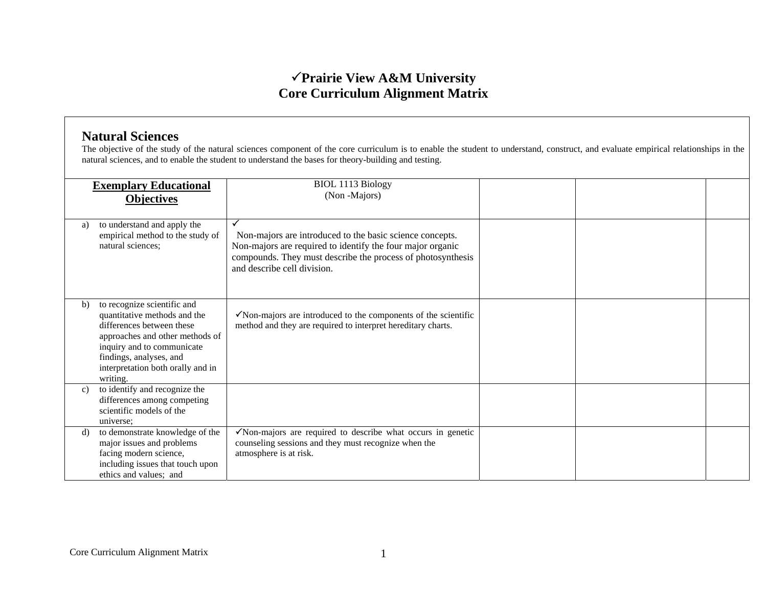## <sup>3</sup>**Prairie View A&M University Core Curriculum Alignment Matrix**

## **Natural Sciences**

The objective of the study of the natural sciences component of the core curriculum is to enable the student to understand, construct, and evaluate empirical relationships in the natural sciences, and to enable the student to understand the bases for theory-building and testing.

|    | <b>Exemplary Educational</b><br><b>Objectives</b>                                                                                                                                                                                     | <b>BIOL 1113 Biology</b><br>(Non-Majors)                                                                                                                                                                             |  |  |
|----|---------------------------------------------------------------------------------------------------------------------------------------------------------------------------------------------------------------------------------------|----------------------------------------------------------------------------------------------------------------------------------------------------------------------------------------------------------------------|--|--|
| a) | to understand and apply the<br>empirical method to the study of<br>natural sciences;                                                                                                                                                  | Non-majors are introduced to the basic science concepts.<br>Non-majors are required to identify the four major organic<br>compounds. They must describe the process of photosynthesis<br>and describe cell division. |  |  |
| b) | to recognize scientific and<br>quantitative methods and the<br>differences between these<br>approaches and other methods of<br>inquiry and to communicate<br>findings, analyses, and<br>interpretation both orally and in<br>writing. | $\checkmark$ Non-majors are introduced to the components of the scientific<br>method and they are required to interpret hereditary charts.                                                                           |  |  |
| c) | to identify and recognize the<br>differences among competing<br>scientific models of the<br>universe;                                                                                                                                 |                                                                                                                                                                                                                      |  |  |
| d) | to demonstrate knowledge of the<br>major issues and problems<br>facing modern science,<br>including issues that touch upon<br>ethics and values; and                                                                                  | $\checkmark$ Non-majors are required to describe what occurs in genetic<br>counseling sessions and they must recognize when the<br>atmosphere is at risk.                                                            |  |  |